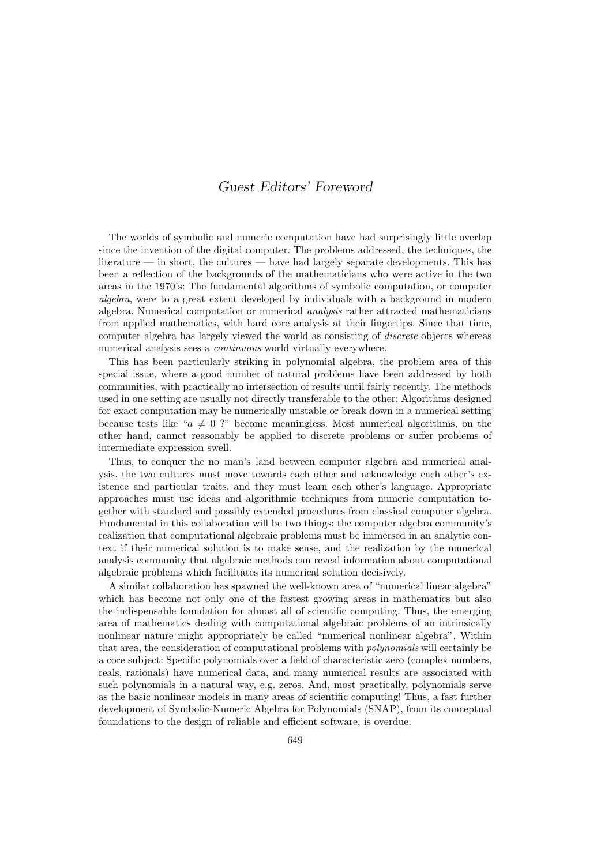## Guest Editors' Foreword

The worlds of symbolic and numeric computation have had surprisingly little overlap since the invention of the digital computer. The problems addressed, the techniques, the literature — in short, the cultures — have had largely separate developments. This has been a reflection of the backgrounds of the mathematicians who were active in the two areas in the 1970's: The fundamental algorithms of symbolic computation, or computer algebra, were to a great extent developed by individuals with a background in modern algebra. Numerical computation or numerical analysis rather attracted mathematicians from applied mathematics, with hard core analysis at their fingertips. Since that time, computer algebra has largely viewed the world as consisting of discrete objects whereas numerical analysis sees a continuous world virtually everywhere.

This has been particularly striking in polynomial algebra, the problem area of this special issue, where a good number of natural problems have been addressed by both communities, with practically no intersection of results until fairly recently. The methods used in one setting are usually not directly transferable to the other: Algorithms designed for exact computation may be numerically unstable or break down in a numerical setting because tests like " $a \neq 0$  ?" become meaningless. Most numerical algorithms, on the other hand, cannot reasonably be applied to discrete problems or suffer problems of intermediate expression swell.

Thus, to conquer the no–man's–land between computer algebra and numerical analysis, the two cultures must move towards each other and acknowledge each other's existence and particular traits, and they must learn each other's language. Appropriate approaches must use ideas and algorithmic techniques from numeric computation together with standard and possibly extended procedures from classical computer algebra. Fundamental in this collaboration will be two things: the computer algebra community's realization that computational algebraic problems must be immersed in an analytic context if their numerical solution is to make sense, and the realization by the numerical analysis community that algebraic methods can reveal information about computational algebraic problems which facilitates its numerical solution decisively.

A similar collaboration has spawned the well-known area of "numerical linear algebra" which has become not only one of the fastest growing areas in mathematics but also the indispensable foundation for almost all of scientific computing. Thus, the emerging area of mathematics dealing with computational algebraic problems of an intrinsically nonlinear nature might appropriately be called "numerical nonlinear algebra". Within that area, the consideration of computational problems with polynomials will certainly be a core subject: Specific polynomials over a field of characteristic zero (complex numbers, reals, rationals) have numerical data, and many numerical results are associated with such polynomials in a natural way, e.g. zeros. And, most practically, polynomials serve as the basic nonlinear models in many areas of scientific computing! Thus, a fast further development of Symbolic-Numeric Algebra for Polynomials (SNAP), from its conceptual foundations to the design of reliable and efficient software, is overdue.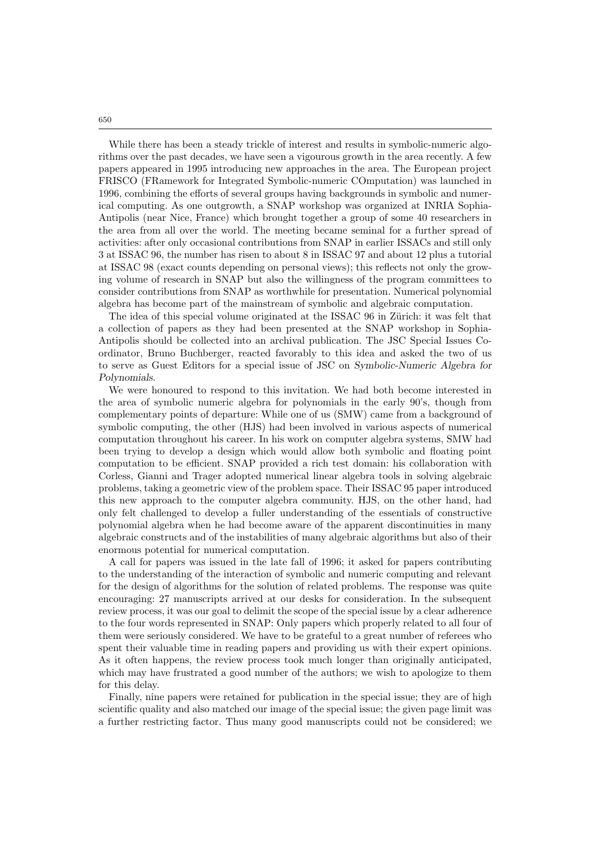While there has been a steady trickle of interest and results in symbolic-numeric algorithms over the past decades, we have seen a vigourous growth in the area recently. A few papers appeared in 1995 introducing new approaches in the area. The European project FRISCO (FRamework for Integrated Symbolic-numeric COmputation) was launched in 1996, combining the efforts of several groups having backgrounds in symbolic and numerical computing. As one outgrowth, a SNAP workshop was organized at INRIA Sophia-Antipolis (near Nice, France) which brought together a group of some 40 researchers in the area from all over the world. The meeting became seminal for a further spread of activities: after only occasional contributions from SNAP in earlier ISSACs and still only 3 at ISSAC 96, the number has risen to about 8 in ISSAC 97 and about 12 plus a tutorial at ISSAC 98 (exact counts depending on personal views); this reflects not only the growing volume of research in SNAP but also the willingness of the program committees to consider contributions from SNAP as worthwhile for presentation. Numerical polynomial algebra has become part of the mainstream of symbolic and algebraic computation.

The idea of this special volume originated at the ISSAC 96 in Zürich: it was felt that a collection of papers as they had been presented at the SNAP workshop in Sophia-Antipolis should be collected into an archival publication. The JSC Special Issues Coordinator, Bruno Buchberger, reacted favorably to this idea and asked the two of us to serve as Guest Editors for a special issue of JSC on Symbolic-Numeric Algebra for Polynomials.

We were honoured to respond to this invitation. We had both become interested in the area of symbolic numeric algebra for polynomials in the early 90's, though from complementary points of departure: While one of us (SMW) came from a background of symbolic computing, the other (HJS) had been involved in various aspects of numerical computation throughout his career. In his work on computer algebra systems, SMW had been trying to develop a design which would allow both symbolic and floating point computation to be efficient. SNAP provided a rich test domain: his collaboration with Corless, Gianni and Trager adopted numerical linear algebra tools in solving algebraic problems, taking a geometric view of the problem space. Their ISSAC 95 paper introduced this new approach to the computer algebra community. HJS, on the other hand, had only felt challenged to develop a fuller understanding of the essentials of constructive polynomial algebra when he had become aware of the apparent discontinuities in many algebraic constructs and of the instabilities of many algebraic algorithms but also of their enormous potential for numerical computation.

A call for papers was issued in the late fall of 1996; it asked for papers contributing to the understanding of the interaction of symbolic and numeric computing and relevant for the design of algorithms for the solution of related problems. The response was quite encouraging: 27 manuscripts arrived at our desks for consideration. In the subsequent review process, it was our goal to delimit the scope of the special issue by a clear adherence to the four words represented in SNAP: Only papers which properly related to all four of them were seriously considered. We have to be grateful to a great number of referees who spent their valuable time in reading papers and providing us with their expert opinions. As it often happens, the review process took much longer than originally anticipated, which may have frustrated a good number of the authors; we wish to apologize to them for this delay.

Finally, nine papers were retained for publication in the special issue; they are of high scientific quality and also matched our image of the special issue; the given page limit was a further restricting factor. Thus many good manuscripts could not be considered; we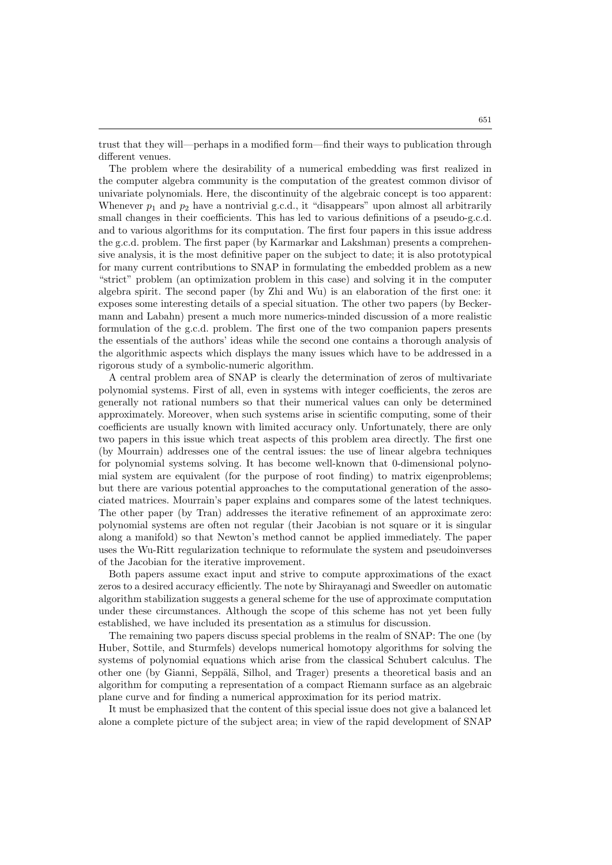trust that they will—perhaps in a modified form—find their ways to publication through different venues.

The problem where the desirability of a numerical embedding was first realized in the computer algebra community is the computation of the greatest common divisor of univariate polynomials. Here, the discontinuity of the algebraic concept is too apparent: Whenever  $p_1$  and  $p_2$  have a nontrivial g.c.d., it "disappears" upon almost all arbitrarily small changes in their coefficients. This has led to various definitions of a pseudo-g.c.d. and to various algorithms for its computation. The first four papers in this issue address the g.c.d. problem. The first paper (by Karmarkar and Lakshman) presents a comprehensive analysis, it is the most definitive paper on the subject to date; it is also prototypical for many current contributions to SNAP in formulating the embedded problem as a new "strict" problem (an optimization problem in this case) and solving it in the computer algebra spirit. The second paper (by Zhi and Wu) is an elaboration of the first one: it exposes some interesting details of a special situation. The other two papers (by Beckermann and Labahn) present a much more numerics-minded discussion of a more realistic formulation of the g.c.d. problem. The first one of the two companion papers presents the essentials of the authors' ideas while the second one contains a thorough analysis of the algorithmic aspects which displays the many issues which have to be addressed in a rigorous study of a symbolic-numeric algorithm.

A central problem area of SNAP is clearly the determination of zeros of multivariate polynomial systems. First of all, even in systems with integer coefficients, the zeros are generally not rational numbers so that their numerical values can only be determined approximately. Moreover, when such systems arise in scientific computing, some of their coefficients are usually known with limited accuracy only. Unfortunately, there are only two papers in this issue which treat aspects of this problem area directly. The first one (by Mourrain) addresses one of the central issues: the use of linear algebra techniques for polynomial systems solving. It has become well-known that 0-dimensional polynomial system are equivalent (for the purpose of root finding) to matrix eigenproblems; but there are various potential approaches to the computational generation of the associated matrices. Mourrain's paper explains and compares some of the latest techniques. The other paper (by Tran) addresses the iterative refinement of an approximate zero: polynomial systems are often not regular (their Jacobian is not square or it is singular along a manifold) so that Newton's method cannot be applied immediately. The paper uses the Wu-Ritt regularization technique to reformulate the system and pseudoinverses of the Jacobian for the iterative improvement.

Both papers assume exact input and strive to compute approximations of the exact zeros to a desired accuracy efficiently. The note by Shirayanagi and Sweedler on automatic algorithm stabilization suggests a general scheme for the use of approximate computation under these circumstances. Although the scope of this scheme has not yet been fully established, we have included its presentation as a stimulus for discussion.

The remaining two papers discuss special problems in the realm of SNAP: The one (by Huber, Sottile, and Sturmfels) develops numerical homotopy algorithms for solving the systems of polynomial equations which arise from the classical Schubert calculus. The other one (by Gianni, Seppälä, Silhol, and Trager) presents a theoretical basis and an algorithm for computing a representation of a compact Riemann surface as an algebraic plane curve and for finding a numerical approximation for its period matrix.

It must be emphasized that the content of this special issue does not give a balanced let alone a complete picture of the subject area; in view of the rapid development of SNAP